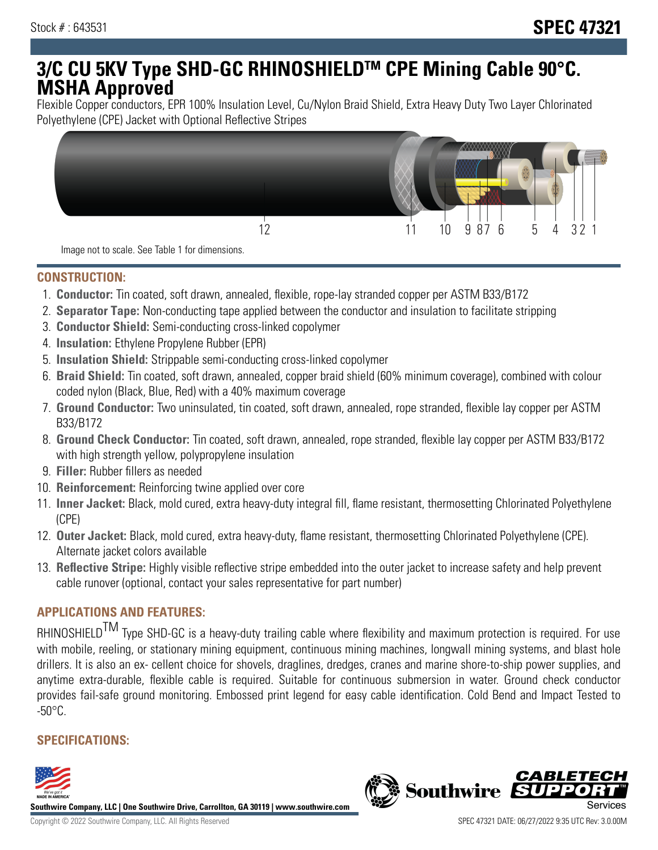# **3/C CU 5KV Type SHD-GC RHINOSHIELDTM CPE Mining Cable 90°C. MSHA Approved**

Flexible Copper conductors, EPR 100% Insulation Level, Cu/Nylon Braid Shield, Extra Heavy Duty Two Layer Chlorinated Polyethylene (CPE) Jacket with Optional Reflective Stripes



Image not to scale. See Table 1 for dimensions.

#### **CONSTRUCTION:**

- 1. **Conductor:** Tin coated, soft drawn, annealed, flexible, rope-lay stranded copper per ASTM B33/B172
- 2. **Separator Tape:** Non-conducting tape applied between the conductor and insulation to facilitate stripping
- 3. **Conductor Shield:** Semi-conducting cross-linked copolymer
- 4. **Insulation:** Ethylene Propylene Rubber (EPR)
- 5. **Insulation Shield:** Strippable semi-conducting cross-linked copolymer
- 6. **Braid Shield:** Tin coated, soft drawn, annealed, copper braid shield (60% minimum coverage), combined with colour coded nylon (Black, Blue, Red) with a 40% maximum coverage
- 7. **Ground Conductor:** Two uninsulated, tin coated, soft drawn, annealed, rope stranded, flexible lay copper per ASTM B33/B172
- 8. **Ground Check Conductor:** Tin coated, soft drawn, annealed, rope stranded, flexible lay copper per ASTM B33/B172 with high strength yellow, polypropylene insulation
- 9. **Filler:** Rubber fillers as needed
- 10. **Reinforcement:** Reinforcing twine applied over core
- 11. **Inner Jacket:** Black, mold cured, extra heavy-duty integral fill, flame resistant, thermosetting Chlorinated Polyethylene (CPE)
- 12. **Outer Jacket:** Black, mold cured, extra heavy-duty, flame resistant, thermosetting Chlorinated Polyethylene (CPE). Alternate jacket colors available
- 13. **Reflective Stripe:** Highly visible reflective stripe embedded into the outer jacket to increase safety and help prevent cable runover (optional, contact your sales representative for part number)

# **APPLICATIONS AND FEATURES:**

RHINOSHIELD<sup>TM</sup> Type SHD-GC is a heavy-duty trailing cable where flexibility and maximum protection is required. For use with mobile, reeling, or stationary mining equipment, continuous mining machines, longwall mining systems, and blast hole drillers. It is also an ex- cellent choice for shovels, draglines, dredges, cranes and marine shore-to-ship power supplies, and anytime extra-durable, flexible cable is required. Suitable for continuous submersion in water. Ground check conductor provides fail-safe ground monitoring. Embossed print legend for easy cable identification. Cold Bend and Impact Tested to  $-50^{\circ}$ C.

# **SPECIFICATIONS:**



**Southwire Company, LLC | One Southwire Drive, Carrollton, GA 30119 | www.southwire.com**

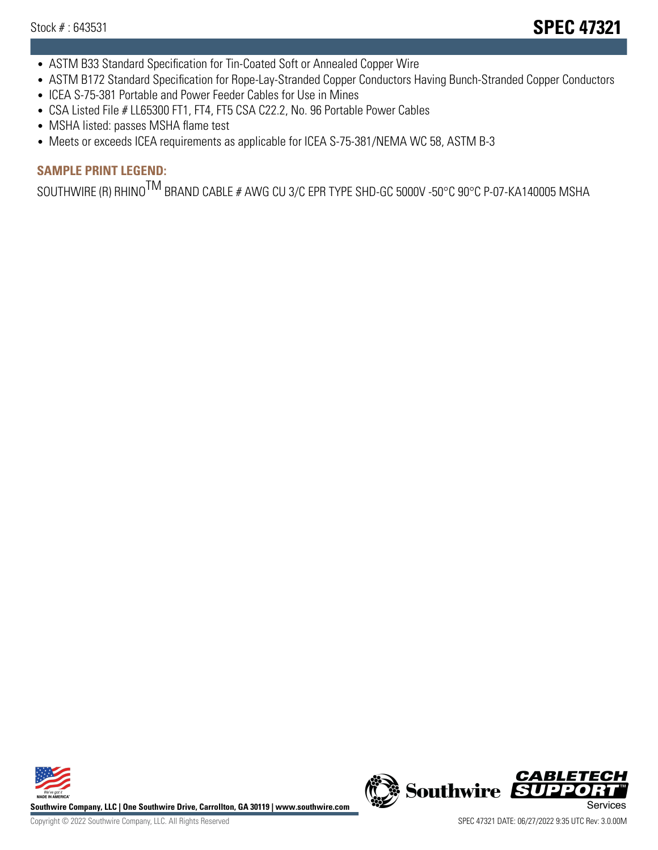- ASTM B33 Standard Specification for Tin-Coated Soft or Annealed Copper Wire
- ASTM B172 Standard Specification for Rope-Lay-Stranded Copper Conductors Having Bunch-Stranded Copper Conductors
- ICEA S-75-381 Portable and Power Feeder Cables for Use in Mines
- CSA Listed File # LL65300 FT1, FT4, FT5 CSA C22.2, No. 96 Portable Power Cables
- MSHA listed: passes MSHA flame test
- Meets or exceeds ICEA requirements as applicable for ICEA S-75-381/NEMA WC 58, ASTM B-3

# **SAMPLE PRINT LEGEND:**

SOUTHWIRE (R) RHINO<sup>TM</sup> BRAND CABLE # AWG CU 3/C EPR TYPE SHD-GC 5000V -50°C 90°C P-07-KA140005 MSHA